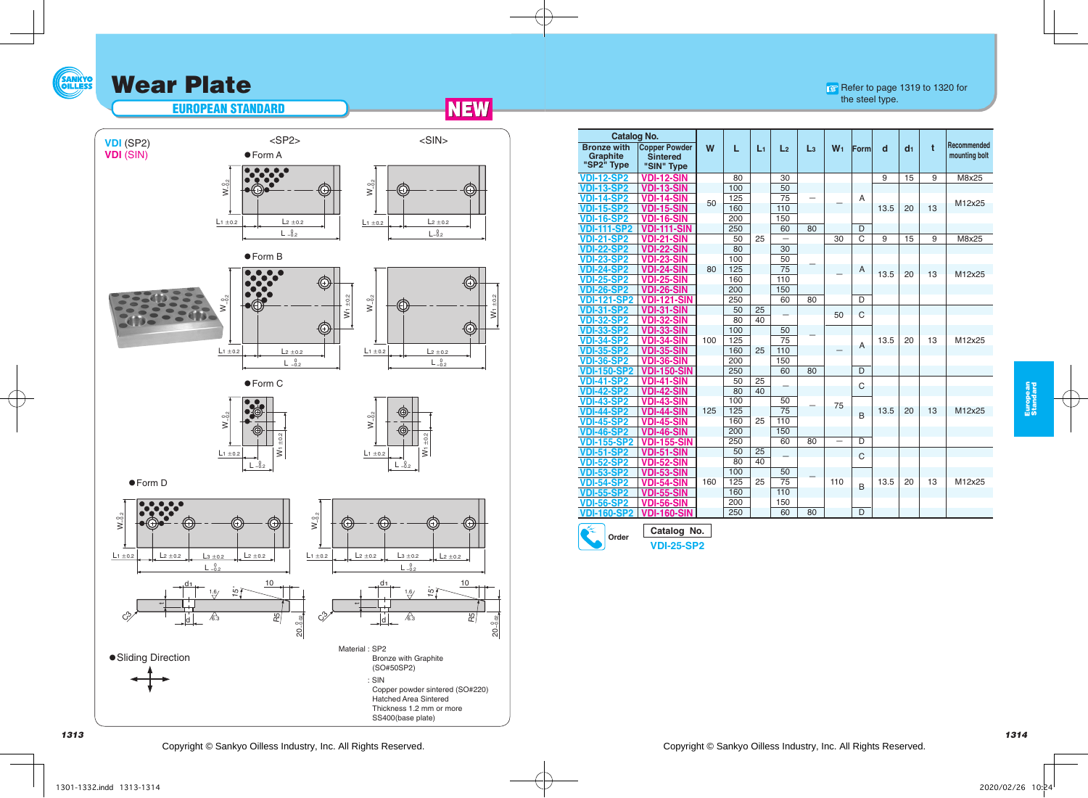## **SANKYO** Wear Plate

## Refer to page 1319 to 1320 for the steel type.



 $L_1 \pm 0.2$ 



 $W_1 \pm 0.2$ 





€









-<br>≷<br>2

 $L_1 \pm 0.2$ 

 $L - 0.2$ 

 $\overline{\epsilon}$ 

● Form C



● Form D



| Catalog No.                                         |                                                       |     |            |       |                          |                |                |                |                |                |    |                              |
|-----------------------------------------------------|-------------------------------------------------------|-----|------------|-------|--------------------------|----------------|----------------|----------------|----------------|----------------|----|------------------------------|
| <b>Bronze with</b><br><b>Graphite</b><br>"SP2" Type | <b>Copper Powder</b><br><b>Sintered</b><br>"SIN" Type | W   | L          | $L_1$ | L <sub>2</sub>           | L <sub>3</sub> | W <sub>1</sub> | Form           | d              | d <sub>1</sub> | t  | Recommended<br>mounting bolt |
| <b>VDI-12-SP2</b>                                   | <b>VDI-12-SIN</b>                                     |     | 80         |       | 30                       |                |                |                | $\overline{9}$ | 15             | 9  | M8x25                        |
| <b>VDI-13-SP2</b>                                   | <b>VDI-13-SIN</b>                                     |     | 100        |       | 50                       |                |                |                |                |                |    |                              |
| <b>VDI-14-SP2</b>                                   | <b>VDI-14-SIN</b>                                     | 50  | 125        |       | 75                       |                |                | A              |                |                |    | M12x25                       |
| <b>VDI-15-SP2</b>                                   | <b>VDI-15-SIN</b>                                     |     | 160        |       | 110                      |                |                |                | 13.5           | 20             | 13 |                              |
| <b>VDI-16-SP2</b>                                   | <b>VDI-16-SIN</b>                                     |     | 200        |       | 150                      |                |                |                |                |                |    |                              |
| <b>VDI-111-SP2</b>                                  | <b>VDI-111-SIN</b>                                    |     | 250        |       | 60                       | 80             |                | D              |                |                |    |                              |
| <b>VDI-21-SP2</b>                                   | <b>VDI-21-SIN</b>                                     |     | 50         | 25    | $\overline{\phantom{0}}$ |                | 30             | C              | 9              | 15             | 9  | M8x25                        |
| <b>DI-22-SP2</b>                                    | <b>VDI-22-SIN</b>                                     |     | 80         |       | 30                       |                |                |                |                |                |    |                              |
| <b>VDI-23-SP2</b>                                   | VDI-23-SIN                                            |     | 100        |       | 50                       |                |                |                |                |                |    |                              |
| <b>VDI-24-SP2</b>                                   | <b>VDI-24-SIN</b>                                     | 80  | 125        |       | 75                       |                |                | A              | 13.5           | 20             | 13 | M12x25                       |
| <b>VDI-25-SP2</b>                                   | <b>VDI-25-SIN</b>                                     |     | 160        | 110   |                          |                |                |                |                |                |    |                              |
| <b>VDI-26-SP2</b>                                   | <b>VDI-26-SIN</b>                                     |     | 200        |       | 150                      |                |                |                |                |                |    |                              |
| <b>VDI-121-SP2</b>                                  | <b>VDI-121-SIN</b>                                    |     | 250        |       | 60                       | 80             |                | D              |                |                |    |                              |
| <b>VDI-31-SP2</b>                                   | <b>VDI-31-SIN</b>                                     |     | 50         | 25    |                          |                | 50             | C              |                |                |    |                              |
| <b>VDI-32-SP2</b>                                   | <b>VDI-32-SIN</b>                                     |     | 80         | 40    |                          |                |                |                |                |                |    |                              |
| <b>VDI-33-SP2</b>                                   | <b>VDI-33-SIN</b>                                     |     | 100        |       | 50                       |                |                |                |                |                |    |                              |
| <b>VDI-34-SP2</b>                                   | <b>VDI-34-SIN</b>                                     | 100 | 125<br>160 | 25    | 75<br>110                |                |                | A              | 13.5           | 20             | 13 | M12x25                       |
| <b>VDI-35-SP2</b><br><b>VDI-36-SP2</b>              | <b>VDI-35-SIN</b>                                     |     | 200        |       | 150                      |                |                |                |                |                |    |                              |
| <b>VDI-150-SP2</b>                                  | <b>VDI-36-SIN</b><br><b>VDI-150-SIN</b>               |     | 250        |       | 60                       | 80             |                | D              |                |                |    |                              |
| <b>VDI-41-SP2</b>                                   | <b>VDI-41-SIN</b>                                     |     | 50         | 25    |                          |                |                |                |                |                |    |                              |
| <b>VDI-42-SP2</b>                                   | <b>VDI-42-SIN</b>                                     |     | 80         | 40    |                          |                |                | C              |                |                |    |                              |
| <b>VDI-43-SP2</b>                                   | <b>VDI-43-SIN</b>                                     |     | 100        |       | 50                       |                |                |                |                |                |    |                              |
| <b>VDI-44-SP2</b>                                   | <b>VDI-44-SIN</b>                                     | 125 | 125        |       | 75                       |                | 75             |                | 13.5           | 20             | 13 | M12x25                       |
| <b>VDI-45-SP2</b>                                   | <b>VDI-45-SIN</b>                                     |     | 160        | 25    | 110                      |                |                | B              |                |                |    |                              |
| <b>VDI-46-SP2</b>                                   | <b>VDI-46-SIN</b>                                     |     | 200        |       | 150                      |                |                |                |                |                |    |                              |
| <b>VDI-155-SP2</b>                                  | <b>VDI-155-SIN</b>                                    |     | 250        |       | 60                       | 80             |                | D              |                |                |    |                              |
| <b>VDI-51-SP2</b>                                   | <b>VDI-51-SIN</b>                                     |     | 50         | 25    |                          |                |                |                |                |                |    |                              |
| <b>VDI-52-SP2</b>                                   | <b>VDI-52-SIN</b>                                     |     | 80         | 40    |                          |                |                | $\overline{C}$ |                |                |    |                              |
| <b>VDI-53-SP2</b>                                   | <b>VDI-53-SIN</b>                                     |     | 100        |       | 50                       |                |                |                |                |                |    |                              |
| <b>VDI-54-SP2</b>                                   | <b>VDI-54-SIN</b>                                     | 160 | 125        | 25    | 75                       |                | 110            | <sub>B</sub>   | 13.5           | 20             | 13 | M12x25                       |
| <b>VDI-55-SP2</b>                                   | <b>VDI-55-SIN</b>                                     |     | 160        |       | 110                      |                |                |                |                |                |    |                              |
| <b>VDI-56-SP2</b>                                   | <b>VDI-56-SIN</b>                                     |     | 200        |       | 150                      |                |                |                |                |                |    |                              |
| <b>VDI-160-SP2</b>                                  | <b>VDI-160-SIN</b>                                    |     | 250        |       | 60                       | 80             |                | D              |                |                |    |                              |
| M.                                                  |                                                       |     |            |       |                          |                |                |                |                |                |    |                              |



**Catalog No. VDI-25-SP2**

European Standard

European<br>Standard